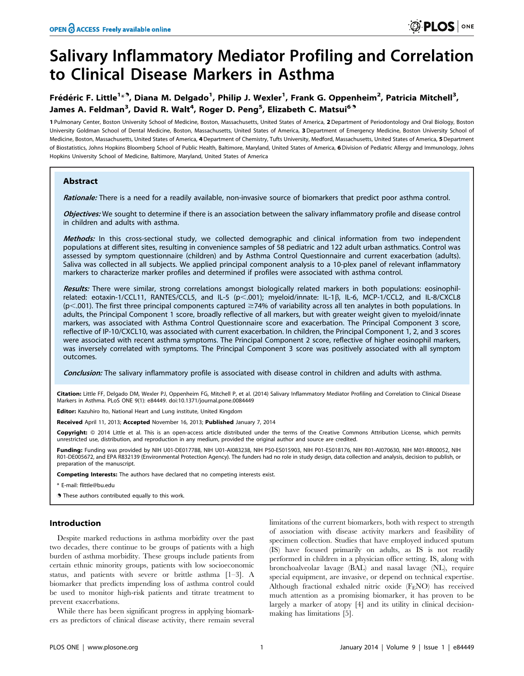# Salivary Inflammatory Mediator Profiling and Correlation to Clinical Disease Markers in Asthma

## Frédéric F. Little<sup>1</sup>\*<sup>9</sup>, Diana M. Delgado<sup>1</sup>, Philip J. Wexler<sup>1</sup>, Frank G. Oppenheim<sup>2</sup>, Patricia Mitchell<sup>3</sup>, James A. Feldman<sup>3</sup>, David R. Walt<sup>4</sup>, Roger D. Peng<sup>5</sup>, Elizabeth C. Matsui<sup>6</sup><sup>3</sup>

1 Pulmonary Center, Boston University School of Medicine, Boston, Massachusetts, United States of America, 2 Department of Periodontology and Oral Biology, Boston University Goldman School of Dental Medicine, Boston, Massachusetts, United States of America, 3Department of Emergency Medicine, Boston University School of Medicine, Boston, Massachusetts, United States of America, 4 Department of Chemistry, Tufts University, Medford, Massachusetts, United States of America, 5 Department of Biostatistics, Johns Hopkins Bloomberg School of Public Health, Baltimore, Maryland, United States of America, 6Division of Pediatric Allergy and Immunology, Johns Hopkins University School of Medicine, Baltimore, Maryland, United States of America

## **Abstract**

Rationale: There is a need for a readily available, non-invasive source of biomarkers that predict poor asthma control.

Objectives: We sought to determine if there is an association between the salivary inflammatory profile and disease control in children and adults with asthma.

Methods: In this cross-sectional study, we collected demographic and clinical information from two independent populations at different sites, resulting in convenience samples of 58 pediatric and 122 adult urban asthmatics. Control was assessed by symptom questionnaire (children) and by Asthma Control Questionnaire and current exacerbation (adults). Saliva was collected in all subjects. We applied principal component analysis to a 10-plex panel of relevant inflammatory markers to characterize marker profiles and determined if profiles were associated with asthma control.

Results: There were similar, strong correlations amongst biologically related markers in both populations: eosinophilrelated: eotaxin-1/CCL11, RANTES/CCL5, and IL-5 (p<.001); myeloid/innate: IL-1 $\beta$ , IL-6, MCP-1/CCL2, and IL-8/CXCL8  $(p<.001)$ . The first three principal components captured  $\geq$ 74% of variability across all ten analytes in both populations. In adults, the Principal Component 1 score, broadly reflective of all markers, but with greater weight given to myeloid/innate markers, was associated with Asthma Control Questionnaire score and exacerbation. The Principal Component 3 score, reflective of IP-10/CXCL10, was associated with current exacerbation. In children, the Principal Component 1, 2, and 3 scores were associated with recent asthma symptoms. The Principal Component 2 score, reflective of higher eosinophil markers, was inversely correlated with symptoms. The Principal Component 3 score was positively associated with all symptom outcomes.

Conclusion: The salivary inflammatory profile is associated with disease control in children and adults with asthma.

Citation: Little FF, Delgado DM, Wexler PJ, Oppenheim FG, Mitchell P, et al. (2014) Salivary Inflammatory Mediator Profiling and Correlation to Clinical Disease Markers in Asthma. PLoS ONE 9(1): e84449. doi:10.1371/journal.pone.0084449

Editor: Kazuhiro Ito, National Heart and Lung institute, United Kingdom

Received April 11, 2013; Accepted November 16, 2013; Published January 7, 2014

Copyright: © 2014 Little et al. This is an open-access article distributed under the terms of the Creative Commons Attribution License, which permits unrestricted use, distribution, and reproduction in any medium, provided the original author and source are credited.

Funding: Funding was provided by NIH U01-DE017788, NIH U01-AI083238, NIH P50-E5015903, NIH P01-E5018176, NIH R01-AI070630, NIH M01-RR00052, NIH R01-DE005672, and EPA R832139 (Environmental Protection Agency). The funders had no role in study design, data collection and analysis, decision to publish, or preparation of the manuscript.

Competing Interests: The authors have declared that no competing interests exist.

\* E-mail: flittle@bu.edu

**.** These authors contributed equally to this work.

## Introduction

Despite marked reductions in asthma morbidity over the past two decades, there continue to be groups of patients with a high burden of asthma morbidity. These groups include patients from certain ethnic minority groups, patients with low socioeconomic status, and patients with severe or brittle asthma [1–3]. A biomarker that predicts impending loss of asthma control could be used to monitor high-risk patients and titrate treatment to prevent exacerbations.

While there has been significant progress in applying biomarkers as predictors of clinical disease activity, there remain several

limitations of the current biomarkers, both with respect to strength of association with disease activity markers and feasibility of specimen collection. Studies that have employed induced sputum (IS) have focused primarily on adults, as IS is not readily performed in children in a physician office setting. IS, along with bronchoalveolar lavage (BAL) and nasal lavage (NL), require special equipment, are invasive, or depend on technical expertise. Although fractional exhaled nitric oxide (FENO) has received much attention as a promising biomarker, it has proven to be largely a marker of atopy [4] and its utility in clinical decisionmaking has limitations [5].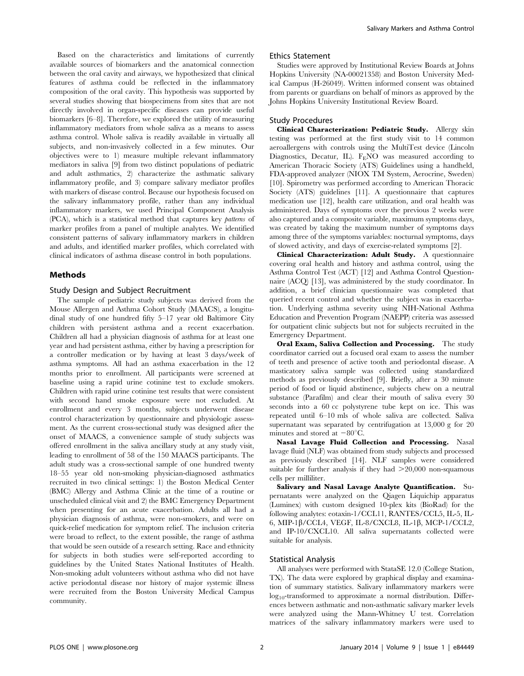Based on the characteristics and limitations of currently available sources of biomarkers and the anatomical connection between the oral cavity and airways, we hypothesized that clinical features of asthma could be reflected in the inflammatory composition of the oral cavity. This hypothesis was supported by several studies showing that biospecimens from sites that are not directly involved in organ-specific diseases can provide useful biomarkers [6–8]. Therefore, we explored the utility of measuring inflammatory mediators from whole saliva as a means to assess asthma control. Whole saliva is readily available in virtually all subjects, and non-invasively collected in a few minutes. Our objectives were to 1) measure multiple relevant inflammatory mediators in saliva [9] from two distinct populations of pediatric and adult asthmatics, 2) characterize the asthmatic salivary inflammatory profile, and 3) compare salivary mediator profiles with markers of disease control. Because our hypothesis focused on the salivary inflammatory profile, rather than any individual inflammatory markers, we used Principal Component Analysis (PCA), which is a statistical method that captures key patterns of marker profiles from a panel of multiple analytes. We identified consistent patterns of salivary inflammatory markers in children and adults, and identified marker profiles, which correlated with clinical indicators of asthma disease control in both populations.

## Methods

## Study Design and Subject Recruitment

The sample of pediatric study subjects was derived from the Mouse Allergen and Asthma Cohort Study (MAACS), a longitudinal study of one hundred fifty 5–17 year old Baltimore City children with persistent asthma and a recent exacerbation. Children all had a physician diagnosis of asthma for at least one year and had persistent asthma, either by having a prescription for a controller medication or by having at least 3 days/week of asthma symptoms. All had an asthma exacerbation in the 12 months prior to enrollment. All participants were screened at baseline using a rapid urine cotinine test to exclude smokers. Children with rapid urine cotinine test results that were consistent with second hand smoke exposure were not excluded. At enrollment and every 3 months, subjects underwent disease control characterization by questionnaire and physiologic assessment. As the current cross-sectional study was designed after the onset of MAACS, a convenience sample of study subjects was offered enrollment in the saliva ancillary study at any study visit, leading to enrollment of 58 of the 150 MAACS participants. The adult study was a cross-sectional sample of one hundred twenty 18–55 year old non-smoking physician-diagnosed asthmatics recruited in two clinical settings: 1) the Boston Medical Center (BMC) Allergy and Asthma Clinic at the time of a routine or unscheduled clinical visit and 2) the BMC Emergency Department when presenting for an acute exacerbation. Adults all had a physician diagnosis of asthma, were non-smokers, and were on quick-relief medication for symptom relief. The inclusion criteria were broad to reflect, to the extent possible, the range of asthma that would be seen outside of a research setting. Race and ethnicity for subjects in both studies were self-reported according to guidelines by the United States National Institutes of Health. Non-smoking adult volunteers without asthma who did not have active periodontal disease nor history of major systemic illness were recruited from the Boston University Medical Campus community.

#### Ethics Statement

Studies were approved by Institutional Review Boards at Johns Hopkins University (NA-00021358) and Boston University Medical Campus (H-26049). Written informed consent was obtained from parents or guardians on behalf of minors as approved by the Johns Hopkins University Institutional Review Board.

## Study Procedures

Clinical Characterization: Pediatric Study. Allergy skin testing was performed at the first study visit to 14 common aeroallergens with controls using the MultiTest device (Lincoln Diagnostics, Decatur, IL). F<sub>E</sub>NO was measured according to American Thoracic Society (ATS) Guidelines using a handheld, FDA-approved analyzer (NIOX TM System, Aerocrine, Sweden) [10]. Spirometry was performed according to American Thoracic Society (ATS) guidelines [11]. A questionnaire that captures medication use [12], health care utilization, and oral health was administered. Days of symptoms over the previous 2 weeks were also captured and a composite variable, maximum symptoms days, was created by taking the maximum number of symptoms days among three of the symptoms variables: nocturnal symptoms, days of slowed activity, and days of exercise-related symptoms [2].

Clinical Characterization: Adult Study. A questionnaire covering oral health and history and asthma control, using the Asthma Control Test (ACT) [12] and Asthma Control Questionnaire (ACQ) [13], was administered by the study coordinator. In addition, a brief clinician questionnaire was completed that queried recent control and whether the subject was in exacerbation. Underlying asthma severity using NIH-National Asthma Education and Prevention Program (NAEPP) criteria was assessed for outpatient clinic subjects but not for subjects recruited in the Emergency Department.

Oral Exam, Saliva Collection and Processing. The study coordinator carried out a focused oral exam to assess the number of teeth and presence of active tooth and periodontal disease. A masticatory saliva sample was collected using standardized methods as previously described [9]. Briefly, after a 30 minute period of food or liquid abstinence, subjects chew on a neutral substance (Parafilm) and clear their mouth of saliva every 30 seconds into a 60 cc polystyrene tube kept on ice. This was repeated until 6–10 mls of whole saliva are collected. Saliva supernatant was separated by centrifugation at 13,000 g for 20 minutes and stored at  $-80^{\circ}$ C.

Nasal Lavage Fluid Collection and Processing. Nasal lavage fluid (NLF) was obtained from study subjects and processed as previously described [14]. NLF samples were considered suitable for further analysis if they had  $>20,000$  non-squamous cells per milliliter.

Salivary and Nasal Lavage Analyte Quantification. Supernatants were analyzed on the Qiagen Liquichip apparatus (Luminex) with custom designed 10-plex kits (BioRad) for the following analytes: eotaxin-1/CCL11, RANTES/CCL5, IL-5, IL-6, MIP-1b/CCL4, VEGF, IL-8/CXCL8, IL-1b, MCP-1/CCL2, and IP-10/CXCL10. All saliva supernatants collected were suitable for analysis.

#### Statistical Analysis

All analyses were performed with StataSE 12.0 (College Station, TX). The data were explored by graphical display and examination of summary statistics. Salivary inflammatory markers were  $log_{10}$ -transformed to approximate a normal distribution. Differences between asthmatic and non-asthmatic salivary marker levels were analyzed using the Mann-Whitney U test. Correlation matrices of the salivary inflammatory markers were used to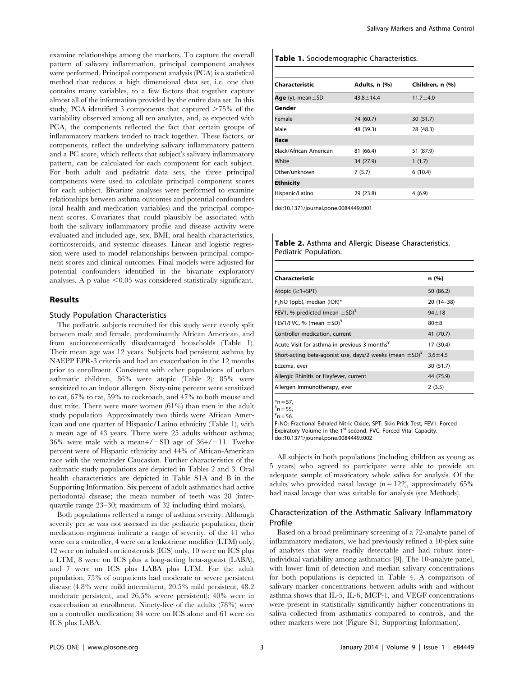examine relationships among the markers. To capture the overall pattern of salivary inflammation, principal component analyses were performed. Principal component analysis (PCA) is a statistical method that reduces a high dimensional data set, i.e. one that contains many variables, to a few factors that together capture almost all of the information provided by the entire data set. In this study, PCA identified 3 components that captured  $>75\%$  of the variability observed among all ten analytes, and, as expected with PCA, the components reflected the fact that certain groups of inflammatory markers tended to track together. These factors, or components, reflect the underlying salivary inflammatory pattern and a PC score, which reflects that subject's salivary inflammatory pattern, can be calculated for each component for each subject. For both adult and pediatric data sets, the three principal components were used to calculate principal component scores for each subject. Bivariate analyses were performed to examine relationships between asthma outcomes and potential confounders (oral health and medication variables) and the principal component scores. Covariates that could plausibly be associated with both the salivary inflammatory profile and disease activity were evaluated and included age, sex, BMI, oral health characteristics, corticosteroids, and systemic diseases. Linear and logistic regression were used to model relationships between principal component scores and clinical outcomes. Final models were adjusted for potential confounders identified in the bivariate exploratory analyses. A p value  $\leq 0.05$  was considered statistically significant.

## Results

### Study Population Characteristics

The pediatric subjects recruited for this study were evenly split between male and female, predominantly African American, and from socioeconomically disadvantaged households (Table 1). Their mean age was 12 years. Subjects had persistent asthma by NAEPP EPR-3 criteria and had an exacerbation in the 12 months prior to enrollment. Consistent with other populations of urban asthmatic children, 86% were atopic (Table 2): 85% were sensitized to an indoor allergen. Sixty-nine percent were sensitized to cat, 67% to rat, 59% to cockroach, and 47% to both mouse and dust mite. There were more women (61%) than men in the adult study population. Approximately two thirds were African American and one quarter of Hispanic/Latino ethnicity (Table 1), with a mean age of 43 years. There were 25 adults without asthma; 36% were male with a mean+/ $-SD$  age of 36+/-11. Twelve percent were of Hispanic ethnicity and 44% of African-American race with the remainder Caucasian. Further characteristics of the asthmatic study populations are depicted in Tables 2 and 3. Oral health characteristics are depicted in Table S1A and B in the Supporting Information. Six percent of adult asthmatics had active periodontal disease; the mean number of teeth was 28 (interquartile range 23–30; maximum of 32 including third molars).

Both populations reflected a range of asthma severity. Although severity per se was not assessed in the pediatric population, their medication regimens indicate a range of severity: of the 41 who were on a controller, 4 were on a leukotriene modifier (LTM) only, 12 were on inhaled corticosteroids (ICS) only, 10 were on ICS plus a LTM, 8 were on ICS plus a long-acting beta-agonist (LABA), and 7 were on ICS plus LABA plus LTM. For the adult population, 75% of outpatients had moderate or severe persistent disease (4.8% were mild intermittent, 20.5% mild persistent, 48.2 moderate persistent, and 26.5% severe persistent); 40% were in exacerbation at enrollment. Ninety-five of the adults (78%) were on a controller medication; 34 were on ICS alone and 61 were on ICS plus LABA.

#### Table 1. Sociodemographic Characteristics.

| Characteristic            | Adults, n (%)   | Children, n (%) |
|---------------------------|-----------------|-----------------|
| Age $(y)$ , mean $\pm$ SD | $43.8 \pm 14.4$ | $11.7 \pm 4.0$  |
| Gender                    |                 |                 |
| Female                    | 74 (60.7)       | 30(51.7)        |
| Male                      | 48 (39.3)       | 28 (48.3)       |
| Race                      |                 |                 |
| Black/African American    | 81 (66.4)       | 51 (87.9)       |
| White                     | 34 (27.9)       | 1(1.7)          |
| Other/unknown             | 7(5.7)          | 6(10.4)         |
| <b>Ethnicity</b>          |                 |                 |
| Hispanic/Latino           | 29 (23.8)       | 4(6.9)          |

doi:10.1371/journal.pone.0084449.t001

|                       |  |  | Table 2. Asthma and Allergic Disease Characteristics, |
|-----------------------|--|--|-------------------------------------------------------|
| Pediatric Population. |  |  |                                                       |

| n(%)                                                                                      |
|-------------------------------------------------------------------------------------------|
| 50 (86.2)                                                                                 |
| $20(14-38)$                                                                               |
| $94 + 18$                                                                                 |
| $80 + 8$                                                                                  |
| 41 (70.7)                                                                                 |
| 17 (30.4)                                                                                 |
| Short-acting beta-agonist use, days/2 weeks (mean $\pm$ SD) <sup>*</sup><br>$3.6 \pm 4.5$ |
| 30 (51.7)                                                                                 |
| 44 (75.9)                                                                                 |
| 2(3.5)                                                                                    |
|                                                                                           |

 $*n = 57$ 

 $n = 55$ 

 $n = 56$ . FENO: Fractional Exhaled Nitric Oxide, SPT: Skin Prick Test, FEV1: Forced Expiratory Volume in the 1<sup>st</sup> second, FVC: Forced Vital Capacity. doi:10.1371/journal.pone.0084449.t002

All subjects in both populations (including children as young as 5 years) who agreed to participate were able to provide an adequate sample of masticatory whole saliva for analysis. Of the adults who provided nasal lavage  $(n = 122)$ , approximately 65% had nasal lavage that was suitable for analysis (see Methods).

## Characterization of the Asthmatic Salivary Inflammatory Profile

Based on a broad preliminary screening of a 72-analyte panel of inflammatory mediators, we had previously refined a 10-plex suite of analytes that were readily detectable and had robust interindividual variability among asthmatics [9]. The 10-analyte panel, with lower limit of detection and median salivary concentrations for both populations is depicted in Table 4. A comparison of salivary marker concentrations between adults with and without asthma shows that IL-5, IL-6, MCP-1, and VEGF concentrations were present in statistically significantly higher concentrations in saliva collected from asthmatics compared to controls, and the other markers were not (Figure S1, Supporting Information).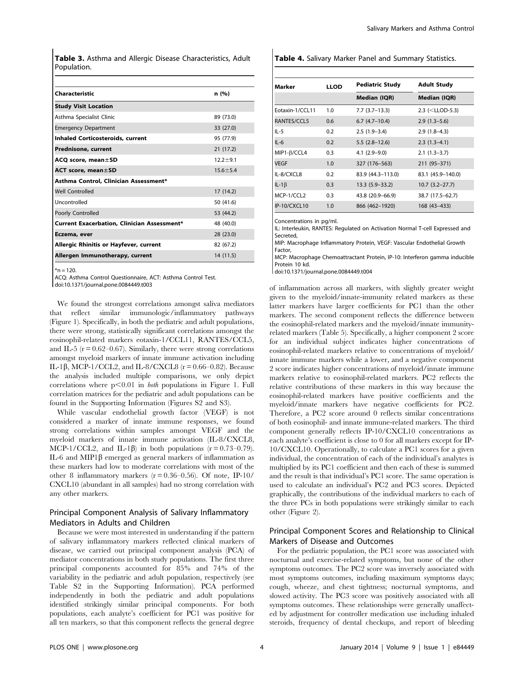Table 3. Asthma and Allergic Disease Characteristics, Adult Population.

| Characteristic                                     | n (%)          |
|----------------------------------------------------|----------------|
| <b>Study Visit Location</b>                        |                |
| Asthma Specialist Clinic                           | 89 (73.0)      |
| <b>Emergency Department</b>                        | 33 (27.0)      |
| <b>Inhaled Corticosteroids, current</b>            | 95 (77.9)      |
| Prednisone, current                                | 21 (17.2)      |
| ACQ score, mean±SD                                 | $12.2 + 9.1$   |
| ACT score, mean±SD                                 | $15.6 \pm 5.4$ |
| Asthma Control, Clinician Assessment*              |                |
| <b>Well Controlled</b>                             | 17(14.2)       |
| Uncontrolled                                       | 50 (41.6)      |
| Poorly Controlled                                  | 53 (44.2)      |
| <b>Current Exacerbation, Clinician Assessment*</b> | 48 (40.0)      |
| Eczema, ever                                       | 28 (23.0)      |
| Allergic Rhinitis or Hayfever, current             | 82 (67.2)      |
| Allergen Immunotherapy, current                    | 14 (11.5)      |

 $*n = 120$ .

ACQ: Asthma Control Questionnaire, ACT: Asthma Control Test.

doi:10.1371/journal.pone.0084449.t003

We found the strongest correlations amongst saliva mediators that reflect similar immunologic/inflammatory pathways (Figure 1). Specifically, in both the pediatric and adult populations, there were strong, statistically significant correlations amongst the eosinophil-related markers eotaxin-1/CCL11, RANTES/CCL5, and IL-5 ( $r = 0.62 - 0.67$ ). Similarly, there were strong correlations amongst myeloid markers of innate immune activation including IL-1 $\beta$ , MCP-1/CCL2, and IL-8/CXCL8 (r = 0.66–0.82). Because the analysis included multiple comparisons, we only depict correlations where  $p<0.01$  in *both* populations in Figure 1. Full correlation matrices for the pediatric and adult populations can be found in the Supporting Information (Figures S2 and S3).

While vascular endothelial growth factor (VEGF) is not considered a marker of innate immune responses, we found strong correlations within samples amongst VEGF and the myeloid markers of innate immune activation (IL-8/CXCL8, MCP-1/CCL2, and IL-1 $\beta$ ) in both populations (r = 0.73–0.79). IL-6 and MIP1 $\beta$  emerged as general markers of inflammation as these markers had low to moderate correlations with most of the other 8 inflammatory markers  $(r = 0.36 - 0.56)$ . Of note, IP-10/ CXCL10 (abundant in all samples) had no strong correlation with any other markers.

## Principal Component Analysis of Salivary Inflammatory Mediators in Adults and Children

Because we were most interested in understanding if the pattern of salivary inflammatory markers reflected clinical markers of disease, we carried out principal component analysis (PCA) of mediator concentrations in both study populations. The first three principal components accounted for 85% and 74% of the variability in the pediatric and adult population, respectively (see Table S2 in the Supporting Information). PCA performed independently in both the pediatric and adult populations identified strikingly similar principal components. For both populations, each analyte's coefficient for PC1 was positive for all ten markers, so that this component reflects the general degree

Table 4. Salivary Marker Panel and Summary Statistics.

| Marker          | <b>LLOD</b> | <b>Pediatric Study</b> | <b>Adult Study</b>  |
|-----------------|-------------|------------------------|---------------------|
|                 |             | Median (IQR)           | Median (IQR)        |
| Eotaxin-1/CCL11 | 1.0         | $7.7(3.7-13.3)$        | 2.3 (< $LLOD-5.3$ ) |
| RANTES/CCL5     | 0.6         | $6.7(4.7-10.4)$        | $2.9(1.3-5.6)$      |
| $IL-5$          | 0.2         | $2.5(1.9-3.4)$         | $2.9(1.8-4.3)$      |
| $IL-6$          | 0.2         | $5.5(2.8-12.6)$        | $2.3(1.3-4.1)$      |
| MIP1-B/CCL4     | 0.3         | $4.1(2.9-9.0)$         | $2.1(1.3-3.7)$      |
| <b>VEGF</b>     | 1.0         | 327 (176–563)          | 211 (95-371)        |
| IL-8/CXCL8      | 0.2         | 83.9 (44.3-113.0)      | 83.1 (45.9–140.0)   |
| IL-1 $\beta$    | 0.3         | $13.3(5.9 - 33.2)$     | $10.7(3.2 - 27.7)$  |
| MCP-1/CCL2      | 0.3         | 43.8 (20.9-66.9)       | 38.7 (17.5-62.7)    |
| IP-10/CXCL10    | 1.0         | 866 (462-1920)         | 168 (43-433)        |

Concentrations in pg/ml.

IL: Interleukin, RANTES: Regulated on Activation Normal T-cell Expressed and Secreted,

MIP: Macrophage Inflammatory Protein, VEGF: Vascular Endothelial Growth Factor,

MCP: Macrophage Chemoattractant Protein, IP-10: Interferon gamma inducible Protein 10 kd.

doi:10.1371/journal.pone.0084449.t004

of inflammation across all markers, with slightly greater weight given to the myeloid/innate-immunity related markers as these latter markers have larger coefficients for PC1 than the other markers. The second component reflects the difference between the eosinophil-related markers and the myeloid/innate immunityrelated markers (Table 5). Specifically, a higher component 2 score for an individual subject indicates higher concentrations of eosinophil-related markers relative to concentrations of myeloid/ innate immune markers while a lower, and a negative component 2 score indicates higher concentrations of myeloid/innate immune markers relative to eosinophil-related markers. PC2 reflects the relative contributions of these markers in this way because the eosinophil-related markers have positive coefficients and the myeloid/innate markers have negative coefficients for PC2. Therefore, a PC2 score around 0 reflects similar concentrations of both eosinophil- and innate immune-related markers. The third component generally reflects IP-10/CXCL10 concentrations as each analyte's coefficient is close to 0 for all markers except for IP-10/CXCL10. Operationally, to calculate a PC1 scores for a given individual, the concentration of each of the individual's analytes is multiplied by its PC1 coefficient and then each of these is summed and the result is that individual's PC1 score. The same operation is used to calculate an individual's PC2 and PC3 scores. Depicted graphically, the contributions of the individual markers to each of the three PCs in both populations were strikingly similar to each other (Figure 2).

## Principal Component Scores and Relationship to Clinical Markers of Disease and Outcomes

For the pediatric population, the PC1 score was associated with nocturnal and exercise-related symptoms, but none of the other symptoms outcomes. The PC2 score was inversely associated with most symptoms outcomes, including maximum symptoms days; cough, wheeze, and chest tightness; nocturnal symptoms, and slowed activity. The PC3 score was positively associated with all symptoms outcomes. These relationships were generally unaffected by adjustment for controller medication use including inhaled steroids, frequency of dental checkups, and report of bleeding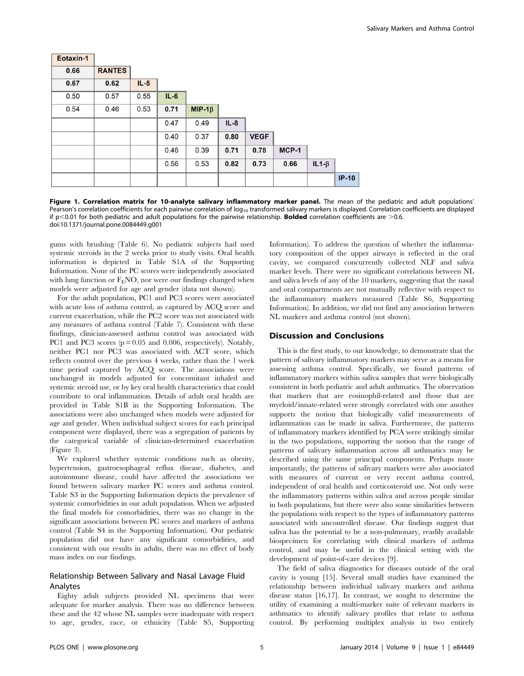| Eotaxin-1 |               |        |        |               |        |             |       |             |         |
|-----------|---------------|--------|--------|---------------|--------|-------------|-------|-------------|---------|
| 0.66      | <b>RANTES</b> |        |        |               |        |             |       |             |         |
| 0.67      | 0.62          | $IL-5$ |        |               |        |             |       |             |         |
| 0.50      | 0.57          | 0.55   | $IL-6$ |               |        |             |       |             |         |
| 0.54      | 0.46          | 0.53   | 0.71   | MIP-1 $\beta$ |        |             |       |             |         |
|           |               |        | 0.47   | 0.49          | $IL-8$ |             |       |             |         |
|           |               |        | 0.40   | 0.37          | 0.80   | <b>VEGF</b> |       |             |         |
|           |               |        | 0.46   | 0.39          | 0.71   | 0.78        | MCP-1 |             |         |
|           |               |        | 0.56   | 0.53          | 0.82   | 0.73        | 0.66  | $IL1-\beta$ |         |
|           |               |        |        |               |        |             |       |             | $IP-10$ |

Figure 1. Correlation matrix for 10-analyte salivary inflammatory marker panel. The mean of the pediatric and adult populations' Pearson's correlation coefficients for each pairwise correlation of  $log_{10}$  transformed salivary markers is displayed. Correlation coefficients are displayed if  $p$ <0.01 for both pediatric and adult populations for the pairwise relationship. **Bolded** correlation coefficients are  $>0.6$ . doi:10.1371/journal.pone.0084449.g001

gums with brushing (Table 6). No pediatric subjects had used systemic steroids in the 2 weeks prior to study visits. Oral health information is depicted in Table S1A of the Supporting Information. None of the PC scores were independently associated with lung function or  $F_ENO$ , nor were our findings changed when models were adjusted for age and gender (data not shown).

For the adult population, PC1 and PC3 scores were associated with acute loss of asthma control, as captured by ACQ score and current exacerbation, while the PC2 score was not associated with any measures of asthma control (Table 7). Consistent with these findings, clinician-assessed asthma control was associated with PC1 and PC3 scores  $(p = 0.05$  and 0.006, respectively). Notably, neither PC1 nor PC3 was associated with ACT score, which reflects control over the previous 4 weeks, rather than the 1 week time period captured by ACQ score. The associations were unchanged in models adjusted for concomitant inhaled and systemic steroid use, or by key oral health characteristics that could contribute to oral inflammation. Details of adult oral health are provided in Table S1B in the Supporting Information. The associations were also unchanged when models were adjusted for age and gender. When individual subject scores for each principal component were displayed, there was a segregation of patients by the categorical variable of clinician-determined exacerbation (Figure 3).

We explored whether systemic conditions such as obesity, hypertension, gastroesophageal reflux disease, diabetes, and autoimmune disease, could have affected the associations we found between salivary marker PC scores and asthma control. Table S3 in the Supporting Information depicts the prevalence of systemic comorbidities in our adult population. When we adjusted the final models for comorbidities, there was no change in the significant associations between PC scores and markers of asthma control (Table S4 in the Supporting Information). Our pediatric population did not have any significant comorbidities, and consistent with our results in adults, there was no effect of body mass index on our findings.

## Relationship Between Salivary and Nasal Lavage Fluid Analytes

Eighty adult subjects provided NL specimens that were adequate for marker analysis. There was no difference between these and the 42 whose NL samples were inadequate with respect to age, gender, race, or ethnicity (Table S5, Supporting Information). To address the question of whether the inflammatory composition of the upper airways is reflected in the oral cavity, we compared concurrently collected NLF and saliva marker levels. There were no significant correlations between NL and saliva levels of any of the 10 markers, suggesting that the nasal and oral compartments are not mutually reflective with respect to the inflammatory markers measured (Table S6, Supporting Information). In addition, we did not find any association between NL markers and asthma control (not shown).

## Discussion and Conclusions

This is the first study, to our knowledge, to demonstrate that the pattern of salivary inflammatory markers may serve as a means for assessing asthma control. Specifically, we found patterns of inflammatory markers within saliva samples that were biologically consistent in both pediatric and adult asthmatics. The observation that markers that are eosinophil-related and those that are myeloid/innate-related were strongly correlated with one another supports the notion that biologically valid measurements of inflammation can be made in saliva. Furthermore, the patterns of inflammatory markers identified by PCA were strikingly similar in the two populations, supporting the notion that the range of patterns of salivary inflammation across all asthmatics may be described using the same principal components. Perhaps more importantly, the patterns of salivary markers were also associated with measures of current or very recent asthma control, independent of oral health and corticosteroid use. Not only were the inflammatory patterns within saliva and across people similar in both populations, but there were also some similarities between the populations with respect to the types of inflammatory patterns associated with uncontrolled disease. Our findings suggest that saliva has the potential to be a non-pulmonary, readily available biospecimen for correlating with clinical markers of asthma control, and may be useful in the clinical setting with the development of point-of-care devices [9].

The field of saliva diagnostics for diseases outside of the oral cavity is young [15]. Several small studies have examined the relationship between individual salivary markers and asthma disease status [16,17]. In contrast, we sought to determine the utility of examining a multi-marker suite of relevant markers in asthmatics to identify salivary profiles that relate to asthma control. By performing multiplex analysis in two entirely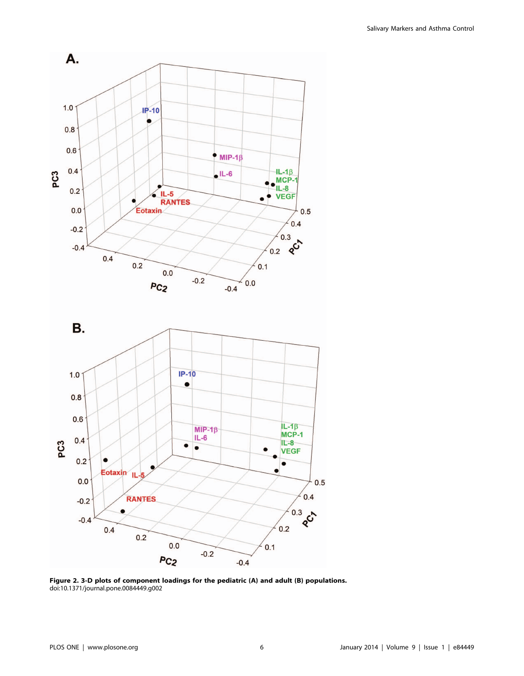

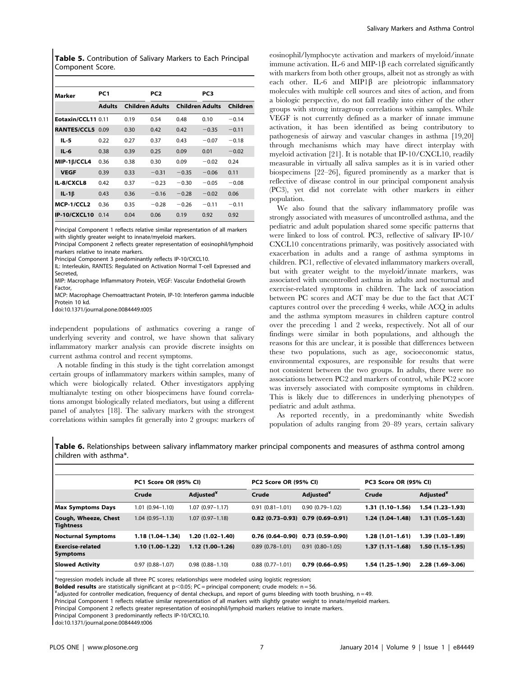Table 5. Contribution of Salivary Markers to Each Principal Component Score.

| Marker             | PC1           |                        | PC <sub>2</sub> |                        | PC <sub>3</sub> |          |
|--------------------|---------------|------------------------|-----------------|------------------------|-----------------|----------|
|                    | <b>Adults</b> | <b>Children Adults</b> |                 | <b>Children Adults</b> |                 | Children |
| Eotaxin/CCL11 0.11 |               | 0.19                   | 0.54            | 0.48                   | 0.10            | $-0.14$  |
| RANTES/CCL5 0.09   |               | 0.30                   | 0.42            | 0.42                   | $-0.35$         | $-0.11$  |
| IL-5               | 0.22          | 0.27                   | 0.37            | 0.43                   | $-0.07$         | $-0.18$  |
| $IL-6$             | 0.38          | 0.39                   | 0.25            | 0.09                   | 0.01            | $-0.02$  |
| MIP-1B/CCL4        | 0.36          | 0.38                   | 0.30            | 0.09                   | $-0.02$         | 0.24     |
| <b>VEGF</b>        | 0.39          | 0.33                   | $-0.31$         | $-0.35$                | $-0.06$         | 0.11     |
| IL-8/CXCL8         | 0.42          | 0.37                   | $-0.23$         | $-0.30$                | $-0.05$         | $-0.08$  |
| $IL-1\beta$        | 0.43          | 0.36                   | $-0.16$         | $-0.28$                | $-0.02$         | 0.06     |
| MCP-1/CCL2         | 0.36          | 0.35                   | $-0.28$         | $-0.26$                | $-0.11$         | $-0.11$  |
| IP-10/CXCL10       | 0.14          | 0.04                   | 0.06            | 0.19                   | 0.92            | 0.92     |

Principal Component 1 reflects relative similar representation of all markers with slightly greater weight to innate/myeloid markers.

Principal Component 2 reflects greater representation of eosinophil/lymphoid markers relative to innate markers.

Principal Component 3 predominantly reflects IP-10/CXCL10.

IL: Interleukin, RANTES: Regulated on Activation Normal T-cell Expressed and Secreted,

MIP: Macrophage Inflammatory Protein, VEGF: Vascular Endothelial Growth Factor,

MCP: Macrophage Chemoattractant Protein, IP-10: Interferon gamma inducible Protein 10 kd.

doi:10.1371/journal.pone.0084449.t005

independent populations of asthmatics covering a range of underlying severity and control, we have shown that salivary inflammatory marker analysis can provide discrete insights on current asthma control and recent symptoms.

A notable finding in this study is the tight correlation amongst certain groups of inflammatory markers within samples, many of which were biologically related. Other investigators applying multianalyte testing on other biospecimens have found correlations amongst biologically related mediators, but using a different panel of analytes [18]. The salivary markers with the strongest correlations within samples fit generally into 2 groups: markers of eosinophil/lymphocyte activation and markers of myeloid/innate immune activation. IL-6 and MIP-1 $\beta$  each correlated significantly with markers from both other groups, albeit not as strongly as with each other. IL-6 and MIP1 $\beta$  are pleiotropic inflammatory molecules with multiple cell sources and sites of action, and from a biologic perspective, do not fall readily into either of the other groups with strong intragroup correlations within samples. While VEGF is not currently defined as a marker of innate immune activation, it has been identified as being contributory to pathogenesis of airway and vascular changes in asthma [19,20] through mechanisms which may have direct interplay with myeloid activation [21]. It is notable that IP-10/CXCL10, readily measurable in virtually all saliva samples as it is in varied other biospecimens [22–26], figured prominently as a marker that is reflective of disease control in our principal component analysis (PC3), yet did not correlate with other markers in either population.

We also found that the salivary inflammatory profile was strongly associated with measures of uncontrolled asthma, and the pediatric and adult population shared some specific patterns that were linked to loss of control. PC3, reflective of salivary IP-10/ CXCL10 concentrations primarily, was positively associated with exacerbation in adults and a range of asthma symptoms in children. PC1, reflective of elevated inflammatory markers overall, but with greater weight to the myeloid/innate markers, was associated with uncontrolled asthma in adults and nocturnal and exercise-related symptoms in children. The lack of association between PC scores and ACT may be due to the fact that ACT captures control over the preceding 4 weeks, while ACQ in adults and the asthma symptom measures in children capture control over the preceding 1 and 2 weeks, respectively. Not all of our findings were similar in both populations, and although the reasons for this are unclear, it is possible that differences between these two populations, such as age, socioeconomic status, environmental exposures, are responsible for results that were not consistent between the two groups. In adults, there were no associations between PC2 and markers of control, while PC2 score was inversely associated with composite symptoms in children. This is likely due to differences in underlying phenotypes of pediatric and adult asthma.

As reported recently, in a predominantly white Swedish population of adults ranging from 20–89 years, certain salivary

Table 6. Relationships between salivary inflammatory marker principal components and measures of asthma control among children with asthma\*.

|                                            | PC1 Score OR (95% CI) |                       | PC2 Score OR (95% CI) |                                       | PC3 Score OR (95% CI) |                       |
|--------------------------------------------|-----------------------|-----------------------|-----------------------|---------------------------------------|-----------------------|-----------------------|
|                                            | Crude                 | Adjusted <sup>*</sup> | Crude                 | Adjusted <sup>*</sup>                 | Crude                 | Adjusted <sup>*</sup> |
| <b>Max Symptoms Days</b>                   | $1.01(0.94 - 1.10)$   | $1.07(0.97 - 1.17)$   | $0.91(0.81 - 1.01)$   | $0.90(0.79 - 1.02)$                   | $1.31(1.10-1.56)$     | $1.54(1.23-1.93)$     |
| Cough, Wheeze, Chest<br><b>Tightness</b>   | $1.04(0.95 - 1.13)$   | $1.07(0.97-1.18)$     |                       | $0.82$ (0.73-0.93) $0.79$ (0.69-0.91) | $1.24(1.04-1.48)$     | $1.31(1.05-1.63)$     |
| Nocturnal Symptoms                         | $1.18(1.04 - 1.34)$   | 1.20 (1.02-1.40)      | $0.76(0.64-0.90)$     | $0.73(0.59 - 0.90)$                   | $1.28(1.01-1.61)$     | $1.39(1.03 - 1.89)$   |
| <b>Exercise-related</b><br><b>Symptoms</b> | $1.10(1.00-1.22)$     | $1.12(1.00-1.26)$     | $0.89(0.78 - 1.01)$   | $0.91(0.80 - 1.05)$                   | $1.37(1.11 - 1.68)$   | $1.50(1.15-1.95)$     |
| <b>Slowed Activity</b>                     | $0.97(0.88 - 1.07)$   | $0.98(0.88 - 1.10)$   | $0.88(0.77-1.01)$     | $0.79(0.66 - 0.95)$                   | $1.54(1.25-1.90)$     | $2.28(1.69-3.06)$     |

\*regression models include all three PC scores; relationships were modeled using logistic regression;

**Bolded results** are statistically significant at  $p<0.05$ ; PC = principal component; crude models: n = 56.

 $^4$ adjusted for controller medication, frequency of dental checkups, and report of gums bleeding with tooth brushing, n=49.

Principal Component 1 reflects relative similar representation of all markers with slightly greater weight to innate/myeloid markers.

Principal Component 2 reflects greater representation of eosinophil/lymphoid markers relative to innate markers.

Principal Component 3 predominantly reflects IP-10/CXCL10.

doi:10.1371/journal.pone.0084449.t006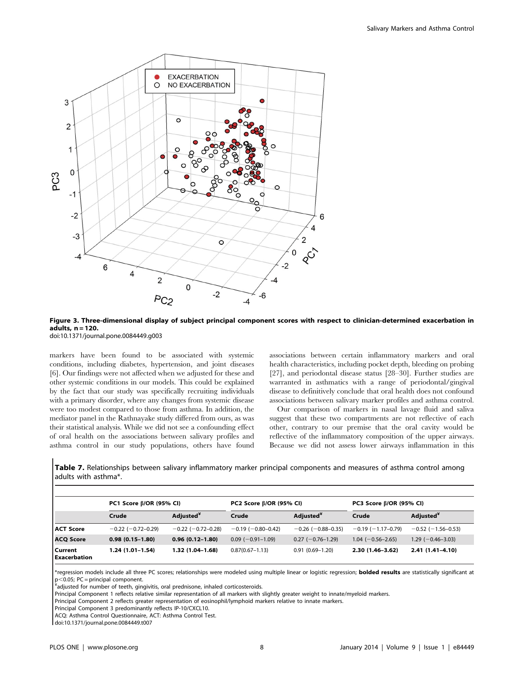

Figure 3. Three-dimensional display of subject principal component scores with respect to clinician-determined exacerbation in adults, n = 120.

doi:10.1371/journal.pone.0084449.g003

markers have been found to be associated with systemic conditions, including diabetes, hypertension, and joint diseases [6]. Our findings were not affected when we adjusted for these and other systemic conditions in our models. This could be explained by the fact that our study was specifically recruiting individuals with a primary disorder, where any changes from systemic disease were too modest compared to those from asthma. In addition, the mediator panel in the Rathnayake study differed from ours, as was their statistical analysis. While we did not see a confounding effect of oral health on the associations between salivary profiles and asthma control in our study populations, others have found associations between certain inflammatory markers and oral health characteristics, including pocket depth, bleeding on probing [27], and periodontal disease status [28–30]. Further studies are warranted in asthmatics with a range of periodontal/gingival disease to definitively conclude that oral health does not confound associations between salivary marker profiles and asthma control.

Our comparison of markers in nasal lavage fluid and saliva suggest that these two compartments are not reflective of each other, contrary to our premise that the oral cavity would be reflective of the inflammatory composition of the upper airways. Because we did not assess lower airways inflammation in this

Table 7. Relationships between salivary inflammatory marker principal components and measures of asthma control among adults with asthma\*.

|                                | PC1 Score B/OR (95% CI)  |                          | PC2 Score B/OR (95% CI)    |                            | PC3 Score B/OR (95% CI) |                       |
|--------------------------------|--------------------------|--------------------------|----------------------------|----------------------------|-------------------------|-----------------------|
|                                | Crude                    | Adjusted <sup>*</sup>    | Crude                      | Adjusted <sup>*</sup>      | Crude                   | Adjusted <sup>*</sup> |
| <b>ACT Score</b>               | $-0.22$ ( $-0.72-0.29$ ) | $-0.22$ ( $-0.72-0.28$ ) | $-0.19$ ( $-0.80 - 0.42$ ) | $-0.26$ ( $-0.88 - 0.35$ ) | $-0.19(-1.17-0.79)$     | $-0.52$ (-1.56-0.53)  |
| <b>ACQ Score</b>               | $0.98(0.15 - 1.80)$      | $0.96(0.12 - 1.80)$      | $0.09$ (-0.91-1.09)        | $0.27$ (-0.76-1.29)        | $1.04 (-0.56 - 2.65)$   | $1.29(-0.46-3.03)$    |
| Current<br><b>Exacerbation</b> | $1.24(1.01-1.54)$        | $1.32(1.04-1.68)$        | $0.87(0.67 - 1.13)$        | $0.91(0.69 - 1.20)$        | $2.30(1.46 - 3.62)$     | $2.41(1.41 - 4.10)$   |

\*regression models include all three PC scores; relationships were modeled using multiple linear or logistic regression; **bolded results** are statistically significant at  $p<0.05$ ; PC = principal component.

adjusted for number of teeth, gingivitis, oral prednisone, inhaled corticosteroids.

Principal Component 1 reflects relative similar representation of all markers with slightly greater weight to innate/myeloid markers.

Principal Component 2 reflects greater representation of eosinophil/lymphoid markers relative to innate markers.

Principal Component 3 predominantly reflects IP-10/CXCL10.

ACQ: Asthma Control Questionnaire, ACT: Asthma Control Test.

doi:10.1371/journal.pone.0084449.t007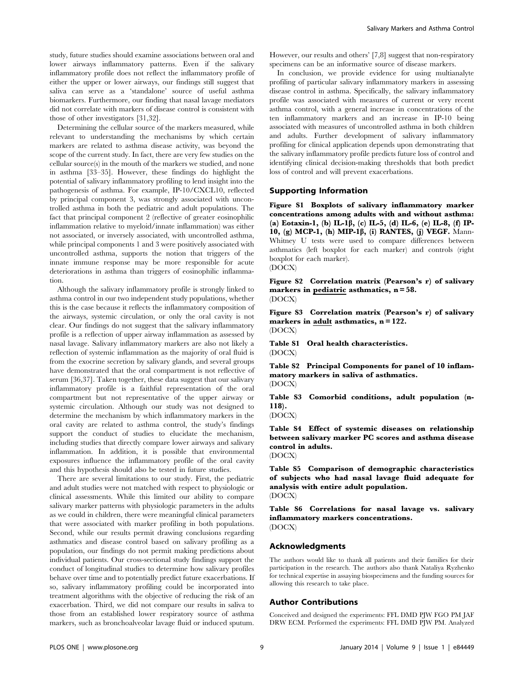study, future studies should examine associations between oral and lower airways inflammatory patterns. Even if the salivary inflammatory profile does not reflect the inflammatory profile of either the upper or lower airways, our findings still suggest that saliva can serve as a 'standalone' source of useful asthma biomarkers. Furthermore, our finding that nasal lavage mediators did not correlate with markers of disease control is consistent with those of other investigators [31,32].

Determining the cellular source of the markers measured, while relevant to understanding the mechanisms by which certain markers are related to asthma disease activity, was beyond the scope of the current study. In fact, there are very few studies on the cellular source(s) in the mouth of the markers we studied, and none in asthma [33–35]. However, these findings do highlight the potential of salivary inflammatory profiling to lend insight into the pathogenesis of asthma. For example, IP-10/CXCL10, reflected by principal component 3, was strongly associated with uncontrolled asthma in both the pediatric and adult populations. The fact that principal component 2 (reflective of greater eosinophilic inflammation relative to myeloid/innate inflammation) was either not associated, or inversely associated, with uncontrolled asthma, while principal components 1 and 3 were positively associated with uncontrolled asthma, supports the notion that triggers of the innate immune response may be more responsible for acute deteriorations in asthma than triggers of eosinophilic inflammation.

Although the salivary inflammatory profile is strongly linked to asthma control in our two independent study populations, whether this is the case because it reflects the inflammatory composition of the airways, systemic circulation, or only the oral cavity is not clear. Our findings do not suggest that the salivary inflammatory profile is a reflection of upper airway inflammation as assessed by nasal lavage. Salivary inflammatory markers are also not likely a reflection of systemic inflammation as the majority of oral fluid is from the exocrine secretion by salivary glands, and several groups have demonstrated that the oral compartment is not reflective of serum [36,37]. Taken together, these data suggest that our salivary inflammatory profile is a faithful representation of the oral compartment but not representative of the upper airway or systemic circulation. Although our study was not designed to determine the mechanism by which inflammatory markers in the oral cavity are related to asthma control, the study's findings support the conduct of studies to elucidate the mechanism, including studies that directly compare lower airways and salivary inflammation. In addition, it is possible that environmental exposures influence the inflammatory profile of the oral cavity and this hypothesis should also be tested in future studies.

There are several limitations to our study. First, the pediatric and adult studies were not matched with respect to physiologic or clinical assessments. While this limited our ability to compare salivary marker patterns with physiologic parameters in the adults as we could in children, there were meaningful clinical parameters that were associated with marker profiling in both populations. Second, while our results permit drawing conclusions regarding asthmatics and disease control based on salivary profiling as a population, our findings do not permit making predictions about individual patients. Our cross-sectional study findings support the conduct of longitudinal studies to determine how salivary profiles behave over time and to potentially predict future exacerbations. If so, salivary inflammatory profiling could be incorporated into treatment algorithms with the objective of reducing the risk of an exacerbation. Third, we did not compare our results in saliva to those from an established lower respiratory source of asthma markers, such as bronchoalveolar lavage fluid or induced sputum. However, our results and others' [7,8] suggest that non-respiratory specimens can be an informative source of disease markers.

In conclusion, we provide evidence for using multianalyte profiling of particular salivary inflammatory markers in assessing disease control in asthma. Specifically, the salivary inflammatory profile was associated with measures of current or very recent asthma control, with a general increase in concentrations of the ten inflammatory markers and an increase in IP-10 being associated with measures of uncontrolled asthma in both children and adults. Further development of salivary inflammatory profiling for clinical application depends upon demonstrating that the salivary inflammatory profile predicts future loss of control and identifying clinical decision-making thresholds that both predict loss of control and will prevent exacerbations.

## Supporting Information

Figure S1 Boxplots of salivary inflammatory marker concentrations among adults with and without asthma: (a) Eotaxin-1, (b) IL-1 $\beta$ , (c) IL-5, (d) IL-6, (e) IL-8, (f) IP-10, (g) MCP-1, (h) MIP-1 $\beta$ , (i) RANTES, (j) VEGF. Mann-Whitney U tests were used to compare differences between asthmatics (left boxplot for each marker) and controls (right boxplot for each marker). (DOCX)

Figure S2 Correlation matrix (Pearson's r) of salivary markers in pediatric asthmatics, n = 58. (DOCX)

Figure S3 Correlation matrix (Pearson's r) of salivary markers in adult asthmatics, n = 122.

(DOCX)

Table S1 Oral health characteristics. (DOCX)

Table S2 Principal Components for panel of 10 inflammatory markers in saliva of asthmatics. (DOCX)

Table S3 Comorbid conditions, adult population (n-118).

(DOCX)

Table S4 Effect of systemic diseases on relationship between salivary marker PC scores and asthma disease control in adults.

(DOCX)

Table S5 Comparison of demographic characteristics of subjects who had nasal lavage fluid adequate for analysis with entire adult population. (DOCX)

Table S6 Correlations for nasal lavage vs. salivary inflammatory markers concentrations. (DOCX)

## Acknowledgments

The authors would like to thank all patients and their families for their participation in the research. The authors also thank Nataliya Ryzhenko for technical expertise in assaying biospecimens and the funding sources for allowing this research to take place.

## Author Contributions

Conceived and designed the experiments: FFL DMD PJW FGO PM JAF DRW ECM. Performed the experiments: FFL DMD PJW PM. Analyzed